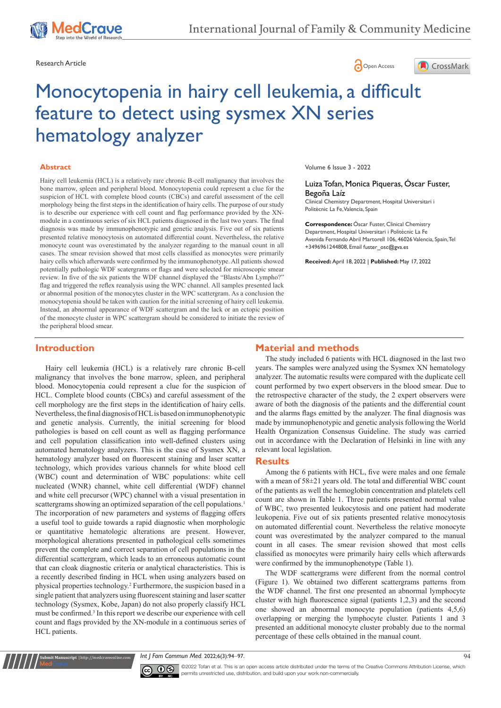





# Monocytopenia in hairy cell leukemia, a difficult feature to detect using sysmex XN series hematology analyzer

#### **Abstract**

Hairy cell leukemia (HCL) is a relatively rare chronic B-cell malignancy that involves the bone marrow, spleen and peripheral blood. Monocytopenia could represent a clue for the suspicion of HCL with complete blood counts (CBCs) and careful assessment of the cell morphology being the first steps in the identification of hairy cells. The purpose of our study is to describe our experience with cell count and flag performance provided by the XNmodule in a continuous series of six HCL patients diagnosed in the last two years. The final diagnosis was made by immunophenotypic and genetic analysis. Five out of six patients presented relative monocytosis on automated differential count. Nevertheless, the relative monocyte count was overestimated by the analyzer regarding to the manual count in all cases. The smear revision showed that most cells classified as monocytes were primarily hairy cells which afterwards were confirmed by the immunophenotype. All patients showed potentially pathologic WDF scatergrams or flags and were selected for microscopic smear review. In five of the six patients the WDF channel displayed the "Blasts/Abn Lympho?" flag and triggered the reflex reanalysis using the WPC channel. All samples presented lack or abnormal position of the monocytes cluster in the WPC scattergram. As a conclusion the monocytopenia should be taken with caution for the initial screening of hairy cell leukemia. Instead, an abnormal appearance of WDF scattergram and the lack or an ectopic position of the monocyte cluster in WPC scattergram should be considered to initiate the review of the peripheral blood smear.

#### Volume 6 Issue 3 - 2022

#### Luiza Tofan, Monica Piqueras, Óscar Fuster, Begoña Laíz

Clinical Chemistry Department, Hospital Universitari i Politècnic La Fe, Valencia, Spain

**Correspondence:** Óscar Fuster, Clinical Chemistry Department, Hospital Universitari i Politècnic La Fe Avenida Fernando Abril Martorell 106, 46026 Valencia, Spain, Tel +3496961244808, Email fuster\_osc@gva.es

**Received:** April 18, 2022 | **Published:** May 17, 2022

## **Introduction**

Hairy cell leukemia (HCL) is a relatively rare chronic B-cell malignancy that involves the bone marrow, spleen, and peripheral blood. Monocytopenia could represent a clue for the suspicion of HCL. Complete blood counts (CBCs) and careful assessment of the cell morphology are the first steps in the identification of hairy cells. Nevertheless, the final diagnosis of HCL is based on immunophenotypic and genetic analysis. Currently, the initial screening for blood pathologies is based on cell count as well as flagging performance and cell population classification into well-defined clusters using automated hematology analyzers. This is the case of Sysmex XN, a hematology analyzer based on fluorescent staining and laser scatter technology, which provides various channels for white blood cell (WBC) count and determination of WBC populations: white cell nucleated (WNR) channel, white cell differential (WDF) channel and white cell precursor (WPC) channel with a visual presentation in scattergrams showing an optimized separation of the cell populations.<sup>1</sup> The incorporation of new parameters and systems of flagging offers a useful tool to guide towards a rapid diagnostic when morphologic or quantitative hematologic alterations are present. However, morphological alterations presented in pathological cells sometimes prevent the complete and correct separation of cell populations in the differential scattergram, which leads to an erroneous automatic count that can cloak diagnostic criteria or analytical characteristics. This is a recently described finding in HCL when using analyzers based on physical properties technology.2 Furthermore, the suspicion based in a single patient that analyzers using fluorescent staining and laser scatter technology (Sysmex, Kobe, Japan) do not also properly classify HCL must be confirmed.<sup>3</sup> In this report we describe our experience with cell count and flags provided by the XN-module in a continuous series of HCL patients.

# **Material and methods**

The study included 6 patients with HCL diagnosed in the last two years. The samples were analyzed using the Sysmex XN hematology analyzer. The automatic results were compared with the duplicate cell count performed by two expert observers in the blood smear. Due to the retrospective character of the study, the 2 expert observers were aware of both the diagnosis of the patients and the differential count and the alarms flags emitted by the analyzer. The final diagnosis was made by immunophenotypic and genetic analysis following the World Health Organization Consensus Guideline. The study was carried out in accordance with the Declaration of Helsinki in line with any relevant local legislation.

#### **Results**

Among the 6 patients with HCL, five were males and one female with a mean of 58±21 years old. The total and differential WBC count of the patients as well the hemoglobin concentration and platelets cell count are shown in Table 1. Three patients presented normal value of WBC, two presented leukocytosis and one patient had moderate leukopenia. Five out of six patients presented relative monocytosis on automated differential count. Nevertheless the relative monocyte count was overestimated by the analyzer compared to the manual count in all cases. The smear revision showed that most cells classified as monocytes were primarily hairy cells which afterwards were confirmed by the immunophenotype (Table 1).

The WDF scattergrams were different from the normal control (Figure 1). We obtained two different scattergrams patterns from the WDF channel. The first one presented an abnormal lymphocyte cluster with high fluorescence signal (patients 1,2,3) and the second one showed an abnormal monocyte population (patients 4,5,6) overlapping or merging the lymphocyte cluster. Patients 1 and 3 presented an additional monocyte cluster probably due to the normal percentage of these cells obtained in the manual count.

*Int J Fam Commun Med.* 2022;6(3):94‒97. 94



**nit Manuscript** | http://medcraveonline.co

©2022 Tofan et al. This is an open access article distributed under the terms of the Creative Commons Attribution License, which permits unrestricted use, distribution, and build upon your work non-commercially.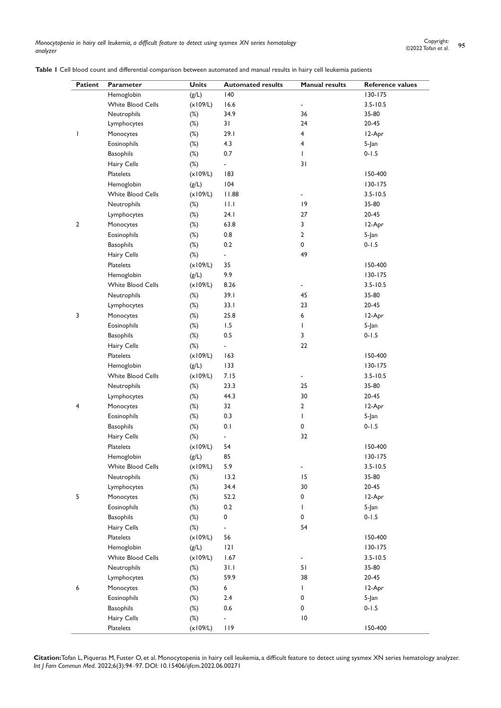*Monocytopenia in hairy cell leukemia, a difficult feature to detect using sysmex XN series hematology analyzer*

**Table 1** Cell blood count and differential comparison between automated and manual results in hairy cell leukemia patients

| Patient        | Parameter                       | <b>Units</b> | <b>Automated results</b> | <b>Manual results</b>    | <b>Reference values</b> |
|----------------|---------------------------------|--------------|--------------------------|--------------------------|-------------------------|
|                | Hemoglobin                      | (g/L)        | 140                      |                          | 130-175                 |
|                | <b>White Blood Cells</b>        | (x109/L)     | 16.6                     | $\overline{\phantom{a}}$ | $3.5 - 10.5$            |
|                | Neutrophils                     | $(\%)$       | 34.9                     | 36                       | 35-80                   |
|                | Lymphocytes                     | $(\%)$       | 31                       | 24                       | 20-45                   |
| L              | Monocytes                       | $(\%)$       | 29.1                     | 4                        | 12-Apr                  |
|                | Eosinophils                     | $(\%)$       | 4.3                      | 4                        | 5-Jan                   |
|                | <b>Basophils</b>                | $(\%)$       | 0.7                      | L                        | $0 - 1.5$               |
|                | Hairy Cells                     | $(\%)$       | ÷,                       | 31                       |                         |
|                | Platelets                       | (x109/L)     | 183                      |                          | 150-400                 |
| $\overline{2}$ | Hemoglobin                      | (g/L)        | 104                      |                          | $130 - 175$             |
|                | <b>White Blood Cells</b>        | (x109/L)     | 11.88                    | $\overline{\phantom{a}}$ | $3.5 - 10.5$            |
|                | Neutrophils                     | $(\%)$       | 11.1                     | 9                        | 35-80                   |
|                | Lymphocytes                     | $(\%)$       | 24.1                     | 27                       | 20-45                   |
|                | Monocytes                       | $(\%)$       | 63.8                     | 3                        | 12-Apr                  |
|                | Eosinophils                     | $(\%)$       | 0.8                      | $\overline{2}$           | 5-Jan                   |
|                | <b>Basophils</b>                | $(\%)$       | 0.2                      | 0                        | $0 - 1.5$               |
|                | Hairy Cells                     | $(\%)$       | ÷.                       | 49                       |                         |
|                | Platelets                       | (x109/L)     | 35                       |                          | 150-400                 |
| 3              | Hemoglobin                      | (g/L)        | 9.9                      |                          | $130 - 175$             |
|                | <b>White Blood Cells</b>        | (x109/L)     | 8.26                     | ٠                        | $3.5 - 10.5$            |
|                | Neutrophils                     | $(\%)$       | 39.1                     | 45                       | 35-80                   |
|                | Lymphocytes                     | $(\%)$       | 33.1                     | 23                       | 20-45                   |
|                | Monocytes                       | $(\%)$       | 25.8                     | 6                        | 12-Apr                  |
|                | Eosinophils                     | $(\%)$       | 1.5                      | L                        | 5-Jan                   |
|                | <b>Basophils</b>                | $(\%)$       | 0.5                      | 3                        | $0 - 1.5$               |
|                | Hairy Cells                     | $(\%)$       | ÷,                       | 22                       |                         |
|                | Platelets                       | (x109/L)     | 163                      |                          | 150-400                 |
| 4              | Hemoglobin                      | (g/L)        | 133                      |                          | $130 - 175$             |
|                | <b>White Blood Cells</b>        | (x109/L)     | 7.15                     | $\overline{\phantom{a}}$ | $3.5 - 10.5$            |
|                | Neutrophils                     | $(\%)$       | 23.3                     | 25                       | 35-80                   |
|                | Lymphocytes                     | $(\%)$       | 44.3                     | 30                       | 20-45                   |
|                | Monocytes                       | $(\%)$       | 32                       | $\overline{2}$           | 12-Apr                  |
|                | Eosinophils                     | $(\%)$       | 0.3                      | L                        | 5-Jan                   |
|                | <b>Basophils</b>                | $(\%)$       | 0.1                      | 0                        | $0 - 1.5$               |
|                | Hairy Cells                     | $(\%)$       | ÷,                       | 32                       |                         |
|                | <b>Platelets</b>                | (x109/L)     | 54                       |                          | 150-400                 |
| 5              | Hemoglobin                      | (g/L)        | 85                       |                          | 130-175                 |
|                | White Blood Cells               | (x109/L)     | 5.9                      | $\overline{\phantom{a}}$ | $3.5 - 10.5$            |
|                | Neutrophils                     | $(\%)$       | 13.2                     | 15                       | 35-80                   |
|                | Lymphocytes                     | $(\%)$       | 34.4                     | 30                       | $20 - 45$               |
|                | Monocytes                       | $(\%)$       | 52.2                     | 0                        | 12-Apr                  |
|                | Eosinophils                     | $(\%)$       | 0.2                      | L                        | 5-Jan                   |
|                |                                 |              |                          | 0                        |                         |
|                | <b>Basophils</b><br>Hairy Cells | $(\%)$       | 0                        | 54                       | $0 - 1.5$               |
|                | Platelets                       | $(\%)$       | ÷,<br>56                 |                          | 150-400                 |
|                |                                 | (x109/L)     |                          |                          |                         |
| 6              | Hemoglobin                      | (g/L)        | 2                        |                          | 130-175                 |
|                | White Blood Cells               | (x109/L)     | 1.67                     | $\frac{1}{2}$            | $3.5 - 10.5$            |
|                | Neutrophils                     | $(\%)$       | 31.1                     | 51                       | 35-80                   |
|                | Lymphocytes                     | $(\%)$       | 59.9                     | 38                       | 20-45                   |
|                | Monocytes                       | $(\%)$       | 6                        | L                        | 12-Apr                  |
|                | Eosinophils                     | $(\%)$       | 2.4                      | 0                        | 5-Jan                   |
|                | <b>Basophils</b>                | $(\%)$       | 0.6                      | 0                        | $0 - 1.5$               |
|                | Hairy Cells                     | $(\%)$       | ÷,                       | $\overline{10}$          |                         |
|                | Platelets                       | (x109/L)     | 119                      |                          | 150-400                 |

**Citation:**Tofan L, Piqueras M, Fuster O, et al. Monocytopenia in hairy cell leukemia, a difficult feature to detect using sysmex XN series hematology analyzer. *Int J Fam Commun Med.* 2022;6(3):94‒97. DOI: [10.15406/ijfcm.2022.06.00271](https://doi.org/10.15406/ijfcm.2022.06.00271)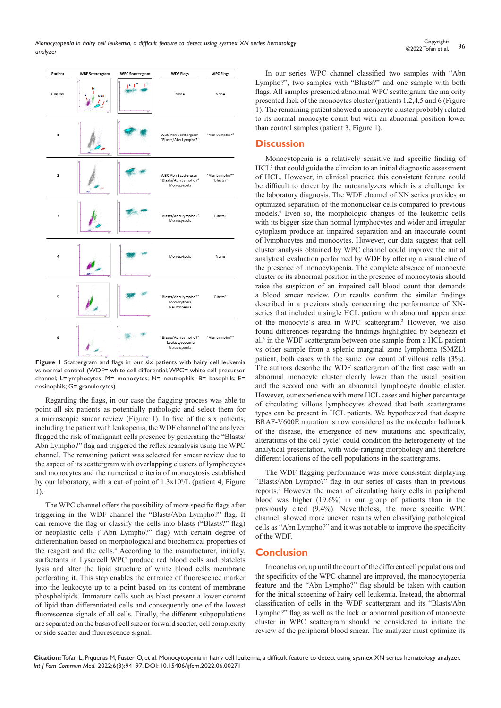

Figure 1 Scattergram and flags in our six patients with hairy cell leukemia vs normal control. (WDF= white cell differential; WPC= white cell precursor channel; L=lymphocytes; M= monocytes; N= neutrophils; B= basophils; E= eosinophils; G= granulocytes).

Regarding the flags, in our case the flagging process was able to point all six patients as potentially pathologic and select them for a microscopic smear review (Figure 1). In five of the six patients, including the patient with leukopenia, the WDF channel of the analyzer flagged the risk of malignant cells presence by generating the "Blasts/ Abn Lympho?" flag and triggered the reflex reanalysis using the WPC channel. The remaining patient was selected for smear review due to the aspect of its scattergram with overlapping clusters of lymphocytes and monocytes and the numerical criteria of monocytosis established by our laboratory, with a cut of point of  $1.3x10<sup>9</sup>/L$  (patient 4, Figure 1).

The WPC channel offers the possibility of more specific flags after triggering in the WDF channel the "Blasts/Abn Lympho?" flag. It can remove the flag or classify the cells into blasts ("Blasts?" flag) or neoplastic cells ("Abn Lympho?" flag) with certain degree of differentiation based on morphological and biochemical properties of the reagent and the cells.<sup>4</sup> According to the manufacturer, initially, surfactants in Lysercell WPC produce red blood cells and platelets lysis and alter the lipid structure of white blood cells membrane perforating it. This step enables the entrance of fluorescence marker into the leukocyte up to a point based on its content of membrane phospholipids. Immature cells such as blast present a lower content of lipid than differentiated cells and consequently one of the lowest fluorescence signals of all cells. Finally, the different subpopulations are separated on the basis of cell size or forward scatter, cell complexity or side scatter and fluorescence signal.

In our series WPC channel classified two samples with "Abn Lympho?", two samples with "Blasts?" and one sample with both flags. All samples presented abnormal WPC scattergram: the majority presented lack of the monocytes cluster (patients 1,2,4,5 and 6 (Figure 1). The remaining patient showed a monocyte cluster probably related to its normal monocyte count but with an abnormal position lower than control samples (patient 3, Figure 1).

### **Discussion**

Monocytopenia is a relatively sensitive and specific finding of HCL<sup>5</sup> that could guide the clinician to an initial diagnostic assessment of HCL. However, in clinical practice this consistent feature could be difficult to detect by the autoanalyzers which is a challenge for the laboratory diagnosis. The WDF channel of XN series provides an optimized separation of the mononuclear cells compared to previous models.6 Even so, the morphologic changes of the leukemic cells with its bigger size than normal lymphocytes and wider and irregular cytoplasm produce an impaired separation and an inaccurate count of lymphocytes and monocytes. However, our data suggest that cell cluster analysis obtained by WPC channel could improve the initial analytical evaluation performed by WDF by offering a visual clue of the presence of monocytopenia. The complete absence of monocyte cluster or its abnormal position in the presence of monocytosis should raise the suspicion of an impaired cell blood count that demands a blood smear review. Our results confirm the similar findings described in a previous study concerning the performance of XNseries that included a single HCL patient with abnormal appearance of the monocyte's area in WPC scattergram.<sup>3</sup> However, we also found differences regarding the findings highlighted by Seghezzi et al.3 in the WDF scattergram between one sample from a HCL patient vs other sample from a splenic marginal zone lymphoma (SMZL) patient, both cases with the same low count of villous cells (3%). The authors describe the WDF scattergram of the first case with an abnormal monocyte cluster clearly lower than the usual position and the second one with an abnormal lymphocyte double cluster. However, our experience with more HCL cases and higher percentage of circulating villous lymphocytes showed that both scattergrams types can be present in HCL patients. We hypothesized that despite BRAF-V600E mutation is now considered as the molecular hallmark of the disease, the emergence of new mutations and specifically, alterations of the cell cycle<sup>8</sup> could condition the heterogeneity of the analytical presentation, with wide-ranging morphology and therefore different locations of the cell populations in the scattergrams.

The WDF flagging performance was more consistent displaying "Blasts/Abn Lympho?" flag in our series of cases than in previous reports.7 However the mean of circulating hairy cells in peripheral blood was higher (19.6%) in our group of patients than in the previously cited (9.4%). Nevertheless, the more specific WPC channel, showed more uneven results when classifying pathological cells as "Abn Lympho?" and it was not able to improve the specificity of the WDF.

# **Conclusion**

In conclusion, up until the count of the different cell populations and the specificity of the WPC channel are improved, the monocytopenia feature and the "Abn Lympho?" flag should be taken with caution for the initial screening of hairy cell leukemia. Instead, the abnormal classification of cells in the WDF scattergram and its "Blasts/Abn Lympho?" flag as well as the lack or abnormal position of monocyte cluster in WPC scattergram should be considered to initiate the review of the peripheral blood smear. The analyzer must optimize its

**Citation:** Tofan L, Piqueras M, Fuster O, et al. Monocytopenia in hairy cell leukemia, a difficult feature to detect using sysmex XN series hematology analyzer. *Int J Fam Commun Med.* 2022;6(3):94‒97. DOI: [10.15406/ijfcm.2022.06.00271](https://doi.org/10.15406/ijfcm.2022.06.00271)